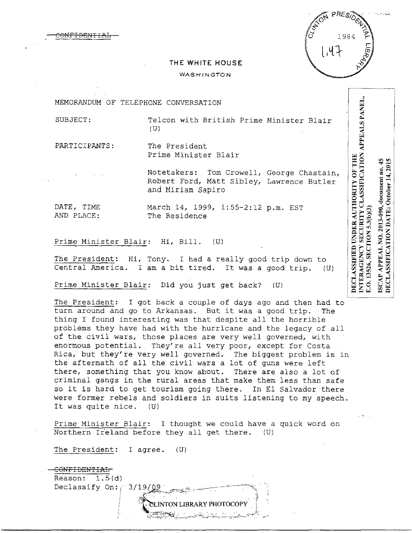

## **THE WHITE HOUSE**

## WASHINGTON

MEMORANDUM OF TELEPHONE CONVERSATION

ANF<del>IDENT</del>

SUBJECT: Telcon with British Prime Minister Blair (U)

PARTICIPANTS: The President Prime Minister Blair

> Notetakers: Tom Crowell, George Chastain, Robert Ford, Matt Sibley, Lawrence Butler and Miriam Sapiro

DATE, TIME March 14, 1999, 1:55-2:12 p.m. EST<br>AND PLACE: The Residence The Residence

Prime Minister Blair: Hi, Bill. (U)

The President: Hi, Tony. I had a really good trip down to Central America. I am a bit tired. It was a good trip. (U)

Prime Minister Blair: Did you just get back? (U)

The President: I got back a couple of days ago and then had to turn around and go to Arkansas. But it was a good trip. The thing I found interesting was that despite all the horrible problems they have had with the hurricane and the legacy of all of the civil wars, those places are very well governed, with enormous potential. They're all very poor, except for Costa Rica, but they're very well governed. The biggest problem is in the aftermath of all the civil wars a lot of guns were left there, something that you know about. There are also a lot of criminal gangs in the rural areas that make them less than safe so it is hard to get tourism going there. In El Salvador there were former rebels and soldiers in suits listening to my speech. It was quite nice. (U)

Prime Minister Blair: I thought we could have a quick word on Northern Ireland before they all get there. (U)

The President: I agree. (U)



 $45$ DECLASSIFICATION DATE: October 14.2015 APPEAL NO. 2013-090, document no. E.O. 13526, SECTION 5.3(b)(3) ISCAP

INTERAGENCY SECURITY CLASSIFICATION APPEALS PANEL,

DECLASSIFIED UNDER AUTHORITY OF THE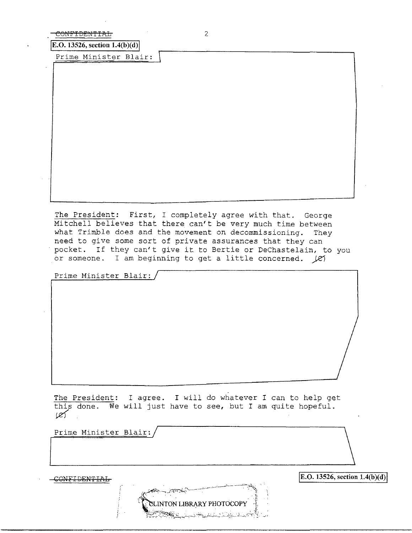| CONT LUENT LALT |  |
|-----------------|--|
| $-$             |  |

**E.O. 13526, section 1.4(b)(d)** 

Prime Minister Blair: \

The President: First, I completely agree with that. George Mitchell believes that there can't be very much time between what Trimble does and the movement on decommissioning. They need to give some sort of private assurances that they can pocket. If they can't give it to Bertie or DeChastelain, to you or someone. I am beginning to get a little concerned. *}el* 

Prime Minister Blair:

The President: I agree. I will do whatever I can to help get this done. We will just have to see, but I am quite hopeful.  $\mathscr{L}$ 

TON LIBRARY PHOTOCOI

Prime Minister Blair:/<br>
and the Minister Blair:/<br>
and the Minister Blair:/<br>
and the Minister Blair:/<br>
and the Minister Blair:/<br>
and the Minister Blair:/<br>
and the Minister Blair:/<br>
and the Minister Blair:/<br>
and the Minister

 $\text{E.O. 13526, section 1.4(b)(d)}$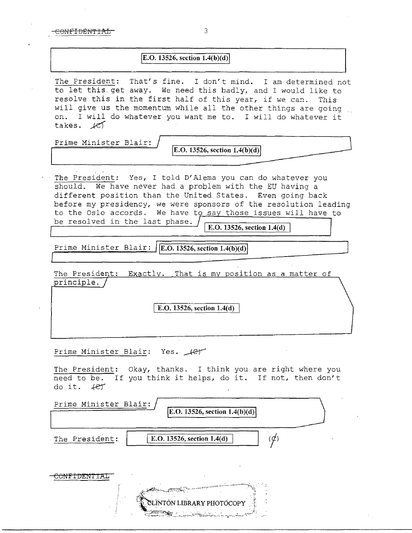-CONFIDENTIAL 3

## **IE.O. 13526, section 1.4(b)(d)**

The President: That's fine. I don't mind. I am determined not to let this. get away. We need this badly, and I would like to resolve this in the first half of this year, if we can. This will give us the momentum while all the other things are going on. I will do whatever you want me to. I will do whatever it takes.  $k$ ej

Prime Minister Blair:

**E.O. 13526, section 1.4(b)(d)** 

The President: Yes, I told D'Alema you can do whatever you should. We have never had a problem with the EU having a different position than the United States. Even going back before my presidency, we were sponsors of the resolution leading to the Oslo accords. We have to say those issues will have to be resolved in the last phase.  $\int$   $\sqrt{E.0.13526}$ , section 1.4(d)

Prime Minister Blair: **IE.O. 13526, section 1.4(b)(d)** 

The President: Exactly. That is my position as a matter of principle.

E.O. 13526, section 1.4(d)

Prime Minister Blair: Yes.  $#$ 

The President: Okay, thanks. I think you are right where you need to be. If you think it helps, do it. If not, then don't do it. ter

| Prime Minister Blair: | E.O. 13526, section $1.4(b)(d)$                                                                                                                   |
|-----------------------|---------------------------------------------------------------------------------------------------------------------------------------------------|
| The President:        | E.O. 13526, section 1.4(d)                                                                                                                        |
|                       |                                                                                                                                                   |
|                       | CLINTON LIBRARY PHOTOCOPY<br><u> La Britania de la Carlo de la Britania de la Britania de la Britania de la Britania de la Britania de la Bri</u> |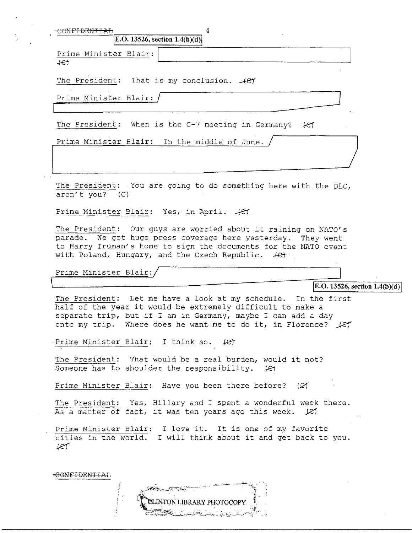|                               | 4<br>E.O. 13526, section $1.4(b)(d)$                                                                                                                                                                                                                       |                                 |
|-------------------------------|------------------------------------------------------------------------------------------------------------------------------------------------------------------------------------------------------------------------------------------------------------|---------------------------------|
| Prime Minister Blair:<br>$+e$ |                                                                                                                                                                                                                                                            |                                 |
|                               | The President: That is my conclusion. $-$ (et                                                                                                                                                                                                              |                                 |
| Prime Minister Blair:         |                                                                                                                                                                                                                                                            |                                 |
|                               | The President: When is the G-7 meeting in Germany?                                                                                                                                                                                                         | fet                             |
|                               | Prime Minister Blair: In the middle of June.                                                                                                                                                                                                               |                                 |
| $\arctan' t$ you? (C)         | The President: You are going to do something here with the DLC,                                                                                                                                                                                            |                                 |
|                               | Prime Minister Blair: Yes, in April. 4et                                                                                                                                                                                                                   |                                 |
| Prime Minister Blair:         | parade. We got huge press coverage here yesterday. They went<br>to Harry Truman's home to sign the documents for the NATO event<br>with Poland, Hungary, and the Czech Republic. 4et                                                                       |                                 |
|                               |                                                                                                                                                                                                                                                            | E.O. 13526, section $1.4(b)(d)$ |
|                               | The President: Let me have a look at my schedule. In the first<br>half of the year it would be extremely difficult to make a<br>separate trip, but if I am in Germany, maybe I can add a day<br>onto my trip. Where does he want me to do it, in Florence? |                                 |
|                               |                                                                                                                                                                                                                                                            | let                             |
|                               | Prime Minister Blair: I think so.<br>LET                                                                                                                                                                                                                   |                                 |
|                               | The President: That would be a real burden, would it not?<br>Someone has to shoulder the responsibility. (e)                                                                                                                                               |                                 |
|                               | Prime Minister Blair: Have you been there before? (Ø)                                                                                                                                                                                                      |                                 |
|                               | The President: Yes, Hillary and I spent a wonderful week there.<br>As a matter of fact, it was ten years ago this week. $ C $                                                                                                                              |                                 |

CLINTON LIBRARY PHOTOCOPY

 $\sim$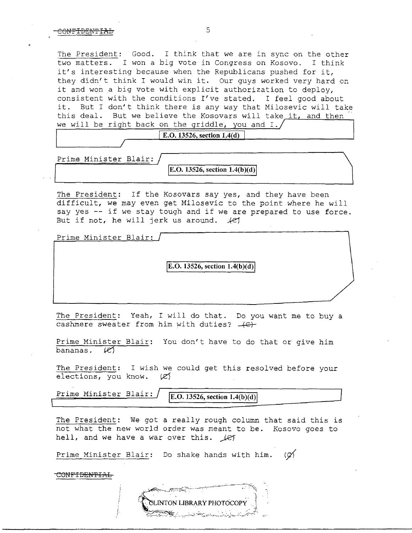The President: Good. I think that we are in sync on the other two matters. I won a big vote in Congress on Kosovo. I think it's interesting because when the Republicans pushed for it, they didn't think I would win it. Our guys worked very hard on it and won a big vote with explicit authorization to deploy, consistent with the conditions I've stated. I feel good about it. But I don't think there is any way that Milosevic will take this deal. But we believe the Kosovars will take it, and then we will be right back on the griddle, you and I.

**E.O. 13526, section 1.4(d)** 

Prime Minister Blair:

**[E.O. 13526, section 1.4(b)(d)** 

The President: If the Kosovars say yes, and they have been difficult, we may even get Milosevic to the point where he will say yes -- if we stay tough and if we are prepared to use force. But if not, he will jerk us around.  $\mathcal{H}$ 

Prime Minister Blair:

**jE.O. 13526, section 1.4(b)(d)j** 

The President: Yeah, I will do that. Do you want me to buy a cashmere sweater from him with duties?  $+(G)+$ 

Prime Minister Blair: You don't have to do that or give him  $b$ ananas.  $\mathcal{L}$ 

The President: I wish we could get this resolved before your elections, you know.  $\varnothing$ 

Prime Minister Blair: *E.O. 13526, section 1.4(b)(d)* 

The President: We got a really rough column that said this is not what the new world order was meant to be. Kosovo goes to hell, and we have a war over this.  $\angle$ ey

Prime Minister Blair: Do shake hands with him. ( $\varnothing$ )

CONF<del>IDENTIAL</del>